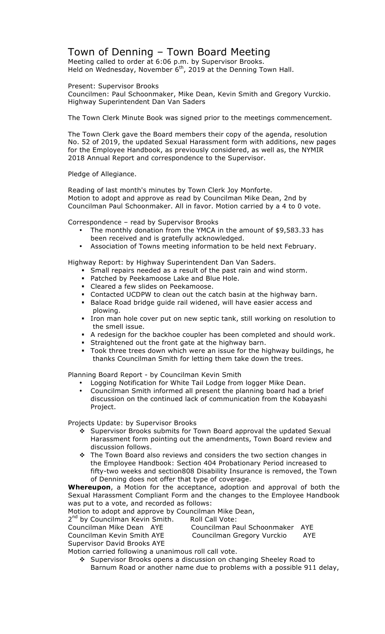### Town of Denning – Town Board Meeting

Meeting called to order at 6:06 p.m. by Supervisor Brooks. Held on Wednesday, November  $6<sup>th</sup>$ , 2019 at the Denning Town Hall.

Present: Supervisor Brooks

Councilmen: Paul Schoonmaker, Mike Dean, Kevin Smith and Gregory Vurckio. Highway Superintendent Dan Van Saders

The Town Clerk Minute Book was signed prior to the meetings commencement.

The Town Clerk gave the Board members their copy of the agenda, resolution No. 52 of 2019, the updated Sexual Harassment form with additions, new pages for the Employee Handbook, as previously considered, as well as, the NYMIR 2018 Annual Report and correspondence to the Supervisor.

#### Pledge of Allegiance.

Reading of last month's minutes by Town Clerk Joy Monforte. Motion to adopt and approve as read by Councilman Mike Dean, 2nd by Councilman Paul Schoonmaker. All in favor. Motion carried by a 4 to 0 vote.

Correspondence – read by Supervisor Brooks

- The monthly donation from the YMCA in the amount of \$9,583.33 has been received and is gratefully acknowledged.
- Association of Towns meeting information to be held next February.

Highway Report: by Highway Superintendent Dan Van Saders.

- ! Small repairs needed as a result of the past rain and wind storm.
- ! Patched by Peekamoose Lake and Blue Hole.
- **EXEC** I Cleared a few slides on Peekamoose.
- ! Contacted UCDPW to clean out the catch basin at the highway barn.
- ! Balace Road bridge guide rail widened, will have easier access and plowing.
- ! Iron man hole cover put on new septic tank, still working on resolution to the smell issue.
- ! A redesign for the backhoe coupler has been completed and should work.
- ! Straightened out the front gate at the highway barn.
- Took three trees down which were an issue for the highway buildings, he thanks Councilman Smith for letting them take down the trees.

Planning Board Report - by Councilman Kevin Smith

- Logging Notification for White Tail Lodge from logger Mike Dean.
- Councilman Smith informed all present the planning board had a brief discussion on the continued lack of communication from the Kobayashi Project.

Projects Update: by Supervisor Brooks

- " Supervisor Brooks submits for Town Board approval the updated Sexual Harassment form pointing out the amendments, Town Board review and discussion follows.
- \* The Town Board also reviews and considers the two section changes in the Employee Handbook: Section 404 Probationary Period increased to fifty-two weeks and section808 Disability Insurance is removed, the Town of Denning does not offer that type of coverage.

**Whereupon**, a Motion for the acceptance, adoption and approval of both the Sexual Harassment Compliant Form and the changes to the Employee Handbook was put to a vote, and recorded as follows:

Motion to adopt and approve by Councilman Mike Dean,

| 2 <sup>nd</sup> by Councilman Kevin Smith. | Roll Call Vote:                 |     |
|--------------------------------------------|---------------------------------|-----|
| Councilman Mike Dean AYE                   | Councilman Paul Schoonmaker AYE |     |
| Councilman Kevin Smith AYE                 | Councilman Gregory Vurckio      | AYE |
| Supervisor David Brooks AYE                |                                 |     |
|                                            |                                 |     |

Motion carried following a unanimous roll call vote.

" Supervisor Brooks opens a discussion on changing Sheeley Road to Barnum Road or another name due to problems with a possible 911 delay,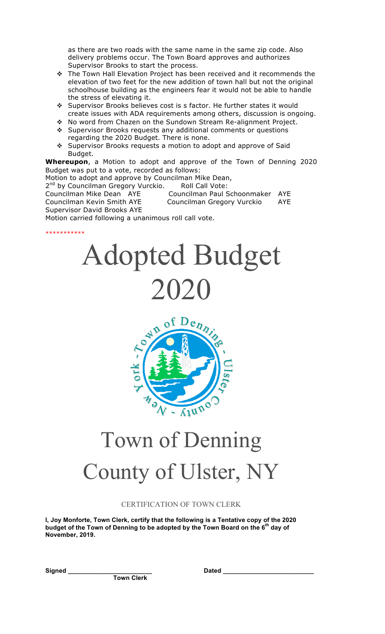as there are two roads with the same name in the same zip code. Also delivery problems occur. The Town Board approves and authorizes Supervisor Brooks to start the process.

- $\cdot \cdot$  The Town Hall Elevation Project has been received and it recommends the elevation of two feet for the new addition of town hall but not the original schoolhouse building as the engineers fear it would not be able to handle the stress of elevating it.
- \* Supervisor Brooks believes cost is s factor. He further states it would create issues with ADA requirements among others, discussion is ongoing.
- " No word from Chazen on the Sundown Stream Re-alignment Project.
- \* Supervisor Brooks requests any additional comments or questions regarding the 2020 Budget. There is none.
- \* Supervisor Brooks requests a motion to adopt and approve of Said Budget.

**Whereupon**, a Motion to adopt and approve of the Town of Denning 2020 Budget was put to a vote, recorded as follows:

Motion to adopt and approve by Councilman Mike Dean,

2<sup>nd</sup> by Councilman Gregory Vurckio. Roll Call Vote:

Councilman Mike Dean AYE Councilman Paul Schoonmaker AYE Councilman Kevin Smith AYE Councilman Gregory Vurckio AYE Supervisor David Brooks AYE Motion carried following a unanimous roll call vote. \*\*\*\*\*\*\*\*\*\*\*

# Adopted Budget 2020



## Town of Denning County of Ulster, NY

#### CERTIFICATION OF TOWN CLERK

**I, Joy Monforte, Town Clerk, certify that the following is a Tentative copy of the 2020 budget of the Town of Denning to be adopted by the Town Board on the 6th day of November, 2019.**

**Signed \_\_\_\_\_\_\_\_\_\_\_\_\_\_\_\_\_\_\_\_\_\_\_\_ Dated \_\_\_\_\_\_\_\_\_\_\_\_\_\_\_\_\_\_\_\_\_\_\_\_\_\_**

**Town Clerk**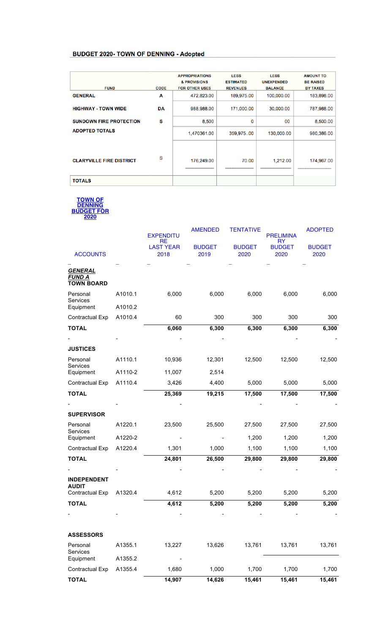#### **BUDGET 2020- TOWN OF DENNING - Adopted**

| <b>FUND</b>                     | <b>CODE</b> | <b>APPROPRIATIONS</b><br><b>&amp; PROVISIONS</b><br><b>FOR OTHER USES</b> | <b>LESS</b><br><b>ESTIMATED</b><br><b>REVENUES</b> | <b>LESS</b><br><b>UNEXPENDED</b><br><b>BALANCE</b> | <b>AMOUNT TO</b><br><b>BE RAISED</b><br><b>BY TAXES</b> |
|---------------------------------|-------------|---------------------------------------------------------------------------|----------------------------------------------------|----------------------------------------------------|---------------------------------------------------------|
| <b>GENERAL</b>                  | A           | 472,823.00                                                                | 189,975.00                                         | 100,000.00                                         | 183,898.00                                              |
| <b>HIGHWAY - TOWN WIDE</b>      | DA          | 988,988.00                                                                | 171,000.00                                         | 30,000.00                                          | 787,988.00                                              |
| <b>SUNDOWN FIRE PROTECTION</b>  | s           | 8,500                                                                     | 0                                                  | 00                                                 | 8,500.00                                                |
| <b>ADOPTED TOTALS</b>           |             | 1,470361.00                                                               | 359,97500                                          | 130,000.00                                         | 980,386.00                                              |
| <b>CLARYVILLE FIRE DISTRICT</b> | s           | 176,249.00                                                                | 70.00                                              | 1,212.00                                           | 174,967.00                                              |
| <b>TOTALS</b>                   |             |                                                                           |                                                    |                                                    |                                                         |

**TOWN OF DENNING BUDGET FOR** 

**2020**

|                                        |         | <b>EXPENDITU</b><br>RE   | <b>AMENDED</b>        | TENTATIVE             | <b>PRELIMINA</b><br>RY | <b>ADOPTED</b>        |
|----------------------------------------|---------|--------------------------|-----------------------|-----------------------|------------------------|-----------------------|
| <b>ACCOUNTS</b>                        |         | <b>LAST YEAR</b><br>2018 | <b>BUDGET</b><br>2019 | <b>BUDGET</b><br>2020 | <b>BUDGET</b><br>2020  | <b>BUDGET</b><br>2020 |
|                                        |         |                          |                       |                       |                        |                       |
| GENERAL<br>FUND A<br><b>TOWN BOARD</b> |         |                          |                       |                       |                        |                       |
| Personal<br>Services                   | A1010.1 | 6,000                    | 6,000                 | 6,000                 | 6,000                  | 6,000                 |
| Equipment                              | A1010.2 |                          |                       |                       |                        |                       |
| Contractual Exp                        | A1010.4 | 60                       | 300                   | 300                   | 300                    | 300                   |
| ΤΟΤΑL                                  |         | 6,060                    | 6,300                 | 6,300                 | 6,300                  | 6,300                 |
|                                        |         |                          |                       |                       |                        |                       |
| <b>JUSTICES</b>                        |         |                          |                       |                       |                        |                       |
| Personal<br>Services                   | A1110.1 | 10,936                   | 12,301                | 12,500                | 12,500                 | 12,500                |
| Equipment                              | A1110-2 | 11,007                   | 2,514                 |                       |                        |                       |
| Contractual Exp                        | A1110.4 | 3,426                    | 4,400                 | 5,000                 | 5,000                  | 5,000                 |
| TOTAL                                  |         | 25,369                   | 19,215                | 17,500                | 17,500                 | 17,500                |
|                                        |         |                          |                       |                       |                        |                       |
| <b>SUPERVISOR</b>                      |         |                          |                       |                       |                        |                       |
| Personal<br>Services                   | A1220.1 | 23,500                   | 25,500                | 27,500                | 27,500                 | 27,500                |
| Equipment                              | A1220-2 |                          |                       | 1,200                 | 1,200                  | 1,200                 |
| Contractual Exp                        | A1220.4 | 1,301                    | 1,000                 | 1,100                 | 1,100                  | 1,100                 |
| ΤΟΤΑL                                  |         | 24,801                   | 26,500                | 29,800                | 29,800                 | 29,800                |
|                                        |         |                          |                       |                       |                        |                       |
| <b>INDEPENDENT</b>                     |         |                          |                       |                       |                        |                       |
| AUDIT<br>Contractual Exp               | A1320.4 | 4,612                    | 5,200                 | 5,200                 | 5,200                  | 5,200                 |
| ΤΟΤΑL                                  |         | 4,612                    | 5,200                 | 5,200                 | 5,200                  | 5,200                 |
|                                        |         |                          |                       |                       |                        |                       |
| <b>ASSESSORS</b>                       |         |                          |                       |                       |                        |                       |
| Personal<br>Services                   | A1355.1 | 13,227                   | 13,626                | 13,761                | 13,761                 | 13,761                |
| Equipment                              | A1355.2 |                          |                       |                       |                        |                       |
| Contractual Exp                        | A1355.4 | 1,680                    | 1,000                 | 1,700                 | 1,700                  | 1,700                 |
| <b>TOTAL</b>                           |         | 14,907                   | 14,626                | 15,461                | 15,461                 | 15,461                |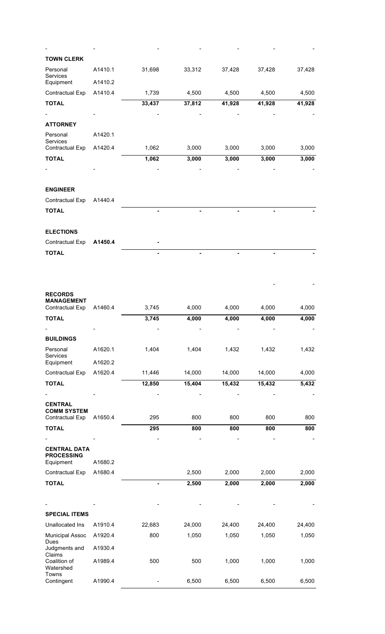| <b>TOWN CLERK</b>                                      |                    |        |        |        |        |        |
|--------------------------------------------------------|--------------------|--------|--------|--------|--------|--------|
| Personal<br>Services                                   | A1410.1            | 31,698 | 33,312 | 37,428 | 37,428 | 37,428 |
| Equipment                                              | A1410.2            |        |        |        |        |        |
| Contractual Exp                                        | A1410.4            | 1,739  | 4,500  | 4,500  | 4,500  | 4,500  |
| <b>TOTAL</b>                                           |                    | 33,437 | 37,812 | 41,928 | 41,928 | 41,928 |
|                                                        |                    |        |        |        |        |        |
| <b>ATTORNEY</b>                                        |                    |        |        |        |        |        |
| Personal<br>Services<br>Contractual Exp                | A1420.1<br>A1420.4 | 1,062  | 3,000  | 3,000  | 3,000  | 3,000  |
|                                                        |                    |        |        |        |        |        |
| <b>TOTAL</b>                                           |                    | 1,062  | 3,000  | 3,000  | 3,000  | 3,000  |
| <b>ENGINEER</b>                                        |                    |        |        |        |        |        |
| Contractual Exp                                        | A1440.4            |        |        |        |        |        |
| <b>TOTAL</b>                                           |                    |        |        |        |        |        |
| <b>ELECTIONS</b>                                       |                    |        |        |        |        |        |
| Contractual Exp                                        | A1450.4            |        |        |        |        |        |
| <b>TOTAL</b>                                           |                    |        |        |        |        |        |
| <b>RECORDS</b><br><b>MANAGEMENT</b><br>Contractual Exp | A1460.4            | 3,745  | 4,000  | 4,000  | 4,000  | 4,000  |
| <b>TOTAL</b>                                           |                    | 3,745  | 4,000  | 4,000  | 4,000  | 4,000  |
|                                                        |                    |        |        |        |        |        |
| <b>BUILDINGS</b>                                       |                    |        |        |        |        |        |
| Personal<br>Services                                   | A1620.1            | 1,404  | 1,404  | 1,432  | 1,432  | 1,432  |
| Equipment                                              | A1620.2            |        |        |        |        |        |
| Contractual Exp                                        | A1620.4            | 11,446 | 14,000 | 14,000 | 14,000 | 4,000  |
| <b>TOTAL</b>                                           |                    | 12,850 | 15,404 | 15,432 | 15,432 | 5,432  |
| <b>CENTRAL</b><br><b>COMM SYSTEM</b>                   |                    |        |        |        |        |        |
| Contractual Exp                                        | A1650.4            | 295    | 800    | 800    | 800    | 800    |
| <b>TOTAL</b>                                           |                    | 295    | 800    | 800    | 800    | 800    |
| <b>CENTRAL DATA</b><br><b>PROCESSING</b><br>Equipment  | A1680.2            |        |        |        |        |        |
| <b>Contractual Exp</b>                                 | A1680.4            |        | 2,500  | 2,000  | 2,000  | 2,000  |
| <b>TOTAL</b>                                           |                    |        | 2,500  | 2,000  | 2,000  | 2,000  |
|                                                        |                    |        |        |        |        |        |
|                                                        |                    |        |        |        |        |        |
| <b>SPECIAL ITEMS</b>                                   |                    |        |        |        |        |        |
| Unallocated Ins                                        | A1910.4            | 22,683 | 24,000 | 24,400 | 24,400 | 24,400 |
| <b>Municipal Assoc</b><br>Dues                         | A1920.4            | 800    | 1,050  | 1,050  | 1,050  | 1,050  |
| Judgments and                                          | A1930.4            |        |        |        |        |        |
| Claims<br>Coalition of<br>Watershed                    | A1989.4            | 500    | 500    | 1,000  | 1,000  | 1,000  |
| Towns<br>Contingent                                    | A1990.4            |        | 6,500  | 6,500  | 6,500  | 6,500  |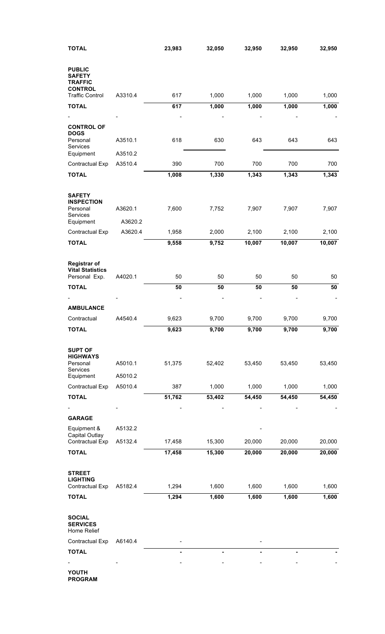| <b>TOTAL</b>                                                    |         | 23,983 | 32,050         | 32,950 | 32,950 | 32,950 |
|-----------------------------------------------------------------|---------|--------|----------------|--------|--------|--------|
| <b>PUBLIC</b><br><b>SAFETY</b><br><b>TRAFFIC</b>                |         |        |                |        |        |        |
| <b>CONTROL</b><br><b>Traffic Control</b>                        | A3310.4 | 617    | 1,000          | 1,000  | 1,000  | 1,000  |
| <b>TOTAL</b>                                                    |         | 617    | 1,000          | 1,000  | 1,000  | 1,000  |
|                                                                 |         |        |                |        |        |        |
| <b>CONTROL OF</b>                                               |         |        |                |        |        |        |
| <b>DOGS</b><br>Personal<br>Services                             | A3510.1 | 618    | 630            | 643    | 643    | 643    |
| Equipment                                                       | A3510.2 |        |                |        |        |        |
| Contractual Exp                                                 | A3510.4 | 390    | 700            | 700    | 700    | 700    |
| <b>TOTAL</b>                                                    |         | 1,008  | 1,330          | 1,343  | 1,343  | 1,343  |
| <b>SAFETY</b><br><b>INSPECTION</b><br>Personal                  | A3620.1 | 7,600  | 7,752          | 7,907  | 7,907  | 7,907  |
| Services<br>Equipment                                           | A3620.2 |        |                |        |        |        |
| Contractual Exp                                                 | A3620.4 | 1,958  | 2,000          | 2,100  | 2,100  | 2,100  |
| <b>TOTAL</b>                                                    |         | 9,558  | 9,752          | 10,007 | 10,007 | 10,007 |
|                                                                 |         |        |                |        |        |        |
| <b>Registrar of</b><br><b>Vital Statistics</b><br>Personal Exp. | A4020.1 | 50     | 50             | 50     | 50     | 50     |
| <b>TOTAL</b>                                                    |         | 50     | 50             | 50     | 50     | 50     |
|                                                                 |         |        |                |        |        |        |
| <b>AMBULANCE</b>                                                |         |        |                |        |        |        |
| Contractual                                                     | A4540.4 | 9,623  | 9,700          | 9,700  | 9,700  | 9,700  |
| <b>TOTAL</b>                                                    |         | 9,623  | 9,700          | 9,700  | 9,700  | 9,700  |
| <b>SUPT OF</b><br><b>HIGHWAYS</b><br>Personal                   | A5010.1 | 51,375 | 52,402         | 53,450 | 53,450 | 53,450 |
| Services<br>Equipment                                           | A5010.2 |        |                |        |        |        |
| Contractual Exp                                                 | A5010.4 | 387    | 1,000          | 1,000  | 1,000  | 1,000  |
| <b>TOTAL</b>                                                    |         | 51,762 | 53,402         | 54,450 | 54,450 | 54,450 |
|                                                                 |         |        |                |        |        |        |
| <b>GARAGE</b>                                                   |         |        |                |        |        |        |
| Equipment &                                                     | A5132.2 |        |                |        |        |        |
| Capital Outlay<br>Contractual Exp                               | A5132.4 | 17,458 | 15,300         | 20,000 | 20,000 | 20,000 |
| <b>TOTAL</b>                                                    |         | 17,458 | 15,300         | 20,000 | 20,000 | 20,000 |
|                                                                 |         |        |                |        |        |        |
| <b>STREET</b><br><b>LIGHTING</b><br>Contractual Exp             | A5182.4 | 1,294  | 1,600          | 1,600  | 1,600  | 1,600  |
| <b>TOTAL</b>                                                    |         | 1,294  | 1,600          | 1,600  | 1,600  | 1,600  |
| <b>SOCIAL</b><br><b>SERVICES</b><br>Home Relief                 |         |        |                |        |        |        |
| Contractual Exp                                                 | A6140.4 |        |                |        |        |        |
| <b>TOTAL</b>                                                    |         |        | $\blacksquare$ |        |        |        |
|                                                                 |         |        |                |        |        |        |
| YOUTH                                                           |         |        |                |        |        |        |

**PROGRAM**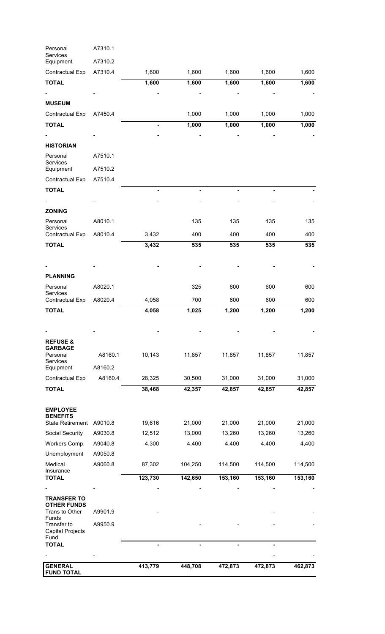| Personal<br>Services                           | A7310.1 |                |         |         |         |         |
|------------------------------------------------|---------|----------------|---------|---------|---------|---------|
| Equipment                                      | A7310.2 |                |         |         |         |         |
| Contractual Exp                                | A7310.4 | 1,600          | 1,600   | 1,600   | 1,600   | 1,600   |
| <b>TOTAL</b>                                   |         | 1,600          | 1,600   | 1,600   | 1,600   | 1,600   |
|                                                |         |                |         |         |         |         |
| <b>MUSEUM</b>                                  |         |                |         |         |         |         |
| Contractual Exp                                | A7450.4 |                | 1,000   | 1,000   | 1,000   | 1,000   |
| <b>TOTAL</b>                                   |         |                | 1,000   | 1,000   | 1,000   | 1,000   |
|                                                |         |                |         |         |         |         |
| <b>HISTORIAN</b>                               |         |                |         |         |         |         |
| Personal<br>Services                           | A7510.1 |                |         |         |         |         |
| Equipment                                      | A7510.2 |                |         |         |         |         |
| Contractual Exp                                | A7510.4 |                |         |         |         |         |
| <b>TOTAL</b>                                   |         |                |         |         |         |         |
|                                                |         |                |         |         |         |         |
| <b>ZONING</b>                                  |         |                |         |         |         |         |
| Personal<br>Services                           | A8010.1 |                | 135     | 135     | 135     | 135     |
| Contractual Exp                                | A8010.4 | 3,432          | 400     | 400     | 400     | 400     |
| <b>TOTAL</b>                                   |         | 3,432          | 535     | 535     | 535     | 535     |
|                                                |         |                |         |         |         |         |
| <b>PLANNING</b>                                |         |                |         |         |         |         |
| Personal                                       | A8020.1 |                | 325     | 600     | 600     | 600     |
| <b>Services</b>                                | A8020.4 |                | 700     | 600     | 600     | 600     |
| Contractual Exp<br><b>TOTAL</b>                |         | 4,058<br>4,058 | 1,025   | 1,200   | 1,200   | 1,200   |
|                                                |         |                |         |         |         |         |
|                                                |         |                |         |         |         |         |
| <b>REFUSE &amp;</b>                            |         |                |         |         |         |         |
| <b>GARBAGE</b>                                 |         |                |         |         |         |         |
| Personal<br>Services                           | A8160.1 | 10,143         | 11,857  | 11,857  | 11,857  | 11,857  |
| Equipment                                      | A8160.2 |                |         |         |         |         |
| Contractual Exp                                | A8160.4 | 28,325         | 30,500  | 31,000  | 31,000  | 31,000  |
| <b>TOTAL</b>                                   |         | 38,468         | 42,357  | 42,857  | 42,857  | 42,857  |
| <b>EMPLOYEE</b>                                |         |                |         |         |         |         |
| <b>BENEFITS</b>                                |         |                |         |         |         |         |
| State Retirement A9010.8                       |         | 19,616         | 21,000  | 21,000  | 21,000  | 21,000  |
| Social Security                                | A9030.8 | 12,512         | 13,000  | 13,260  | 13,260  | 13,260  |
| Workers Comp.                                  | A9040.8 | 4,300          | 4,400   | 4,400   | 4,400   | 4,400   |
| Unemployment                                   | A9050.8 |                |         |         |         |         |
| Medical<br>Insurance                           | A9060.8 | 87,302         | 104,250 | 114,500 | 114,500 | 114,500 |
| <b>TOTAL</b>                                   |         | 123,730        | 142,650 | 153,160 | 153,160 | 153,160 |
|                                                |         |                |         |         |         |         |
| <b>TRANSFER TO</b><br><b>OTHER FUNDS</b>       |         |                |         |         |         |         |
| Trans to Other<br>Funds                        | A9901.9 |                |         |         |         |         |
| Transfer to<br><b>Capital Projects</b><br>Fund | A9950.9 |                |         |         |         |         |
| <b>TOTAL</b>                                   |         |                |         |         |         |         |
|                                                |         |                |         |         |         |         |
| <b>GENERAL</b>                                 |         | 413,779        | 448,708 | 472,873 | 472,873 | 462,873 |
| <b>FUND TOTAL</b>                              |         |                |         |         |         |         |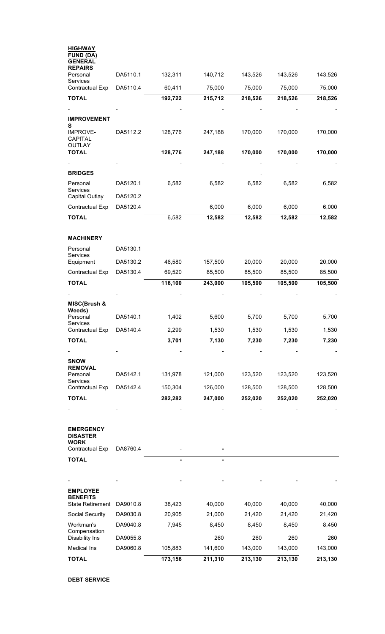| <b>HIGHWAY</b><br><b>FUND (DA)</b><br><b>GENERAL</b> |          |                    |                    |                    |                    |                    |
|------------------------------------------------------|----------|--------------------|--------------------|--------------------|--------------------|--------------------|
| <b>REPAIRS</b><br>Personal                           | DA5110.1 | 132,311            | 140,712            | 143,526            | 143,526            | 143,526            |
| <b>Services</b><br>Contractual Exp                   | DA5110.4 | 60,411             | 75,000             | 75,000             | 75,000             | 75,000             |
| <b>TOTAL</b>                                         |          | 192,722            | 215,712            | 218,526            | 218,526            | 218,526            |
| <b>IMPROVEMENT</b>                                   |          |                    |                    |                    |                    |                    |
| s<br><b>IMPROVE-</b><br><b>CAPITAL</b>               | DA5112.2 | 128,776            | 247,188            | 170,000            | 170,000            | 170,000            |
| <b>OUTLAY</b><br><b>TOTAL</b>                        |          | 128,776            | 247,188            | 170,000            | 170,000            | 170,000            |
| <b>BRIDGES</b>                                       |          |                    |                    |                    |                    |                    |
| Personal                                             | DA5120.1 | 6,582              | 6,582              | 6,582              | 6,582              | 6,582              |
| <b>Services</b><br>Capital Outlay                    | DA5120.2 |                    |                    |                    |                    |                    |
| Contractual Exp                                      | DA5120.4 |                    | 6,000              | 6,000              | 6,000              | 6,000              |
| <b>TOTAL</b>                                         |          | 6,582              | 12,582             | 12,582             | 12,582             | 12,582             |
| <b>MACHINERY</b>                                     |          |                    |                    |                    |                    |                    |
| Personal                                             | DA5130.1 |                    |                    |                    |                    |                    |
| <b>Services</b><br>Equipment                         | DA5130.2 | 46,580             | 157,500            | 20,000             | 20,000             | 20,000             |
| Contractual Exp                                      | DA5130.4 | 69,520             | 85,500             | 85,500             | 85,500             | 85,500             |
| <b>TOTAL</b>                                         |          | 116,100            | 243,000            | 105,500            | 105,500            | 105,500            |
| MISC(Brush &                                         |          |                    |                    |                    |                    |                    |
| Weeds)<br>Personal<br>Services                       | DA5140.1 | 1,402              | 5,600              | 5,700              | 5,700              | 5,700              |
| Contractual Exp                                      | DA5140.4 | 2,299              | 1,530              | 1,530              | 1,530              | 1,530              |
| <b>TOTAL</b>                                         |          | 3,701              | 7,130              | 7,230              | 7,230              | 7,230              |
|                                                      |          |                    |                    |                    |                    |                    |
| <b>SNOW</b><br><b>REMOVAL</b>                        |          |                    |                    |                    |                    |                    |
| Personal<br><b>Services</b>                          | DA5142.1 | 131,978            | 121,000            | 123,520            | 123,520            | 123,520            |
| Contractual Exp                                      | DA5142.4 | 150,304            | 126,000            | 128,500            | 128,500            | 128,500            |
| <b>TOTAL</b>                                         |          | 282,282            | 247,000            | 252,020            | 252,020            | 252,020            |
|                                                      |          |                    |                    |                    |                    |                    |
| <b>EMERGENCY</b><br><b>DISASTER</b><br><b>WORK</b>   |          |                    |                    |                    |                    |                    |
| Contractual Exp                                      | DA8760.4 |                    |                    |                    |                    |                    |
| <b>TOTAL</b>                                         |          |                    |                    |                    |                    |                    |
|                                                      |          |                    |                    |                    |                    |                    |
| <b>EMPLOYEE</b><br><b>BENEFITS</b>                   |          |                    |                    |                    |                    |                    |
| <b>State Retirement</b>                              | DA9010.8 | 38,423             | 40,000             | 40,000             | 40,000             | 40,000             |
| Social Security                                      | DA9030.8 | 20,905             | 21,000             | 21,420             | 21,420             | 21,420             |
| Workman's<br>Compensation                            | DA9040.8 | 7,945              | 8,450              | 8,450              | 8,450              | 8,450              |
| <b>Disability Ins</b>                                | DA9055.8 |                    | 260                | 260                | 260                | 260                |
| Medical Ins<br><b>TOTAL</b>                          | DA9060.8 | 105,883<br>173,156 | 141,600<br>211,310 | 143,000<br>213,130 | 143,000<br>213,130 | 143,000<br>213,130 |
|                                                      |          |                    |                    |                    |                    |                    |

**DEBT SERVICE**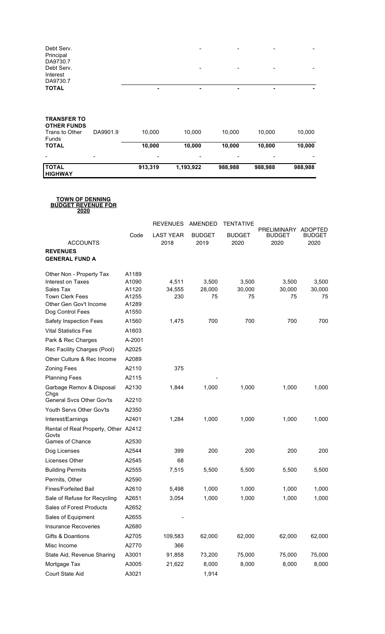|  | - | $\overline{\phantom{0}}$ | $\overline{\phantom{0}}$ | ۰ |
|--|---|--------------------------|--------------------------|---|
|  |   |                          |                          |   |
|  | - | $\overline{\phantom{a}}$ | $\overline{\phantom{0}}$ | - |
|  |   |                          |                          |   |
|  |   |                          |                          |   |
|  | - | ۰                        | $\overline{\phantom{a}}$ | ۰ |
|  |   |                          |                          |   |

#### **TRANSFER TO**

| <b>OTHER FUNDS</b><br>Trans to Other<br><b>Funds</b> | DA9901.9                 | 10.000  | 10.000    | 10.000                   | 10.000  | 10,000  |
|------------------------------------------------------|--------------------------|---------|-----------|--------------------------|---------|---------|
| <b>TOTAL</b>                                         |                          | 10,000  | 10.000    | 10.000                   | 10.000  | 10,000  |
| $\overline{\phantom{a}}$                             | $\overline{\phantom{a}}$ | -       | -         | $\overline{\phantom{0}}$ | -       |         |
| <b>TOTAL</b><br><b>HIGHWAY</b>                       |                          | 913.319 | 1,193,922 | 988.988                  | 988.988 | 988,988 |

#### **TOWN OF DENNING BUDGET REVENUE FOR**

**2020**

|                                                                  |                | <b>REVENUES</b>          | AMENDED               | <b>TENTATIVE</b>      |                                             |                                         |
|------------------------------------------------------------------|----------------|--------------------------|-----------------------|-----------------------|---------------------------------------------|-----------------------------------------|
| <b>ACCOUNTS</b>                                                  | Code           | <b>LAST YEAR</b><br>2018 | <b>BUDGET</b><br>2019 | <b>BUDGET</b><br>2020 | <b>PRELIMINARY</b><br><b>BUDGET</b><br>2020 | <b>ADOPTED</b><br><b>BUDGET</b><br>2020 |
| <b>REVENUES</b>                                                  |                |                          |                       |                       |                                             |                                         |
| <b>GENERAL FUND A</b>                                            |                |                          |                       |                       |                                             |                                         |
| Other Non - Property Tax                                         | A1189          |                          |                       |                       |                                             |                                         |
| Interest on Taxes                                                | A1090          | 4,511                    | 3,500                 | 3,500                 | 3,500                                       | 3,500                                   |
| Sales Tax                                                        | A1120          | 34,555                   | 28,000                | 30,000                | 30,000                                      | 30,000                                  |
| <b>Town Clerk Fees</b><br>Other Gen Gov't Income                 | A1255<br>A1289 | 230                      | 75                    | 75                    | 75                                          | 75                                      |
| Dog Control Fees                                                 | A1550          |                          |                       |                       |                                             |                                         |
| <b>Safety Inspection Fees</b>                                    | A1560          | 1,475                    | 700                   | 700                   | 700                                         | 700                                     |
| <b>Vital Statistics Fee</b>                                      | A1603          |                          |                       |                       |                                             |                                         |
| Park & Rec Charges                                               | A-2001         |                          |                       |                       |                                             |                                         |
| Rec Facility Charges (Pool)                                      | A2025          |                          |                       |                       |                                             |                                         |
| Other Culture & Rec Income                                       | A2089          |                          |                       |                       |                                             |                                         |
| <b>Zoning Fees</b>                                               | A2110          | 375                      |                       |                       |                                             |                                         |
| <b>Planning Fees</b>                                             | A2115          |                          |                       |                       |                                             |                                         |
| Garbage Remov & Disposal<br>Chgs                                 | A2130          | 1,844                    | 1,000                 | 1,000                 | 1,000                                       | 1,000                                   |
| <b>General Svcs Other Gov'ts</b>                                 | A2210          |                          |                       |                       |                                             |                                         |
| Youth Servs Other Gov'ts                                         | A2350          |                          |                       |                       |                                             |                                         |
| Interest/Earnings                                                | A2401          | 1,284                    | 1,000                 | 1,000                 | 1,000                                       | 1,000                                   |
| Rental of Real Property, Other A2412<br>Govts<br>Games of Chance | A2530          |                          |                       |                       |                                             |                                         |
| Dog Licenses                                                     | A2544          | 399                      | 200                   | 200                   | 200                                         | 200                                     |
| Licenses Other                                                   | A2545          | 68                       |                       |                       |                                             |                                         |
| <b>Building Permits</b>                                          | A2555          | 7,515                    | 5,500                 | 5,500                 | 5,500                                       | 5,500                                   |
| Permits, Other                                                   | A2590          |                          |                       |                       |                                             |                                         |
| <b>Fines/Forfeited Bail</b>                                      | A2610          | 5,498                    | 1,000                 | 1,000                 | 1,000                                       | 1,000                                   |
| Sale of Refuse for Recycling                                     | A2651          | 3,054                    | 1,000                 | 1,000                 | 1,000                                       | 1,000                                   |
| Sales of Forest Products                                         | A2652          |                          |                       |                       |                                             |                                         |
| Sales of Equipment                                               | A2655          |                          |                       |                       |                                             |                                         |
| <b>Insurance Recoveries</b>                                      | A2680          |                          |                       |                       |                                             |                                         |
| Gifts & Doantions                                                | A2705          | 109,583                  | 62,000                | 62,000                | 62,000                                      | 62,000                                  |
| Misc Income                                                      | A2770          | 366                      |                       |                       |                                             |                                         |
| State Aid, Revenue Sharing                                       | A3001          | 91,858                   | 73,200                | 75,000                | 75,000                                      | 75,000                                  |
| Mortgage Tax                                                     | A3005          | 21,622                   | 8,000                 | 8,000                 | 8,000                                       | 8,000                                   |
| Court State Aid                                                  | A3021          |                          | 1,914                 |                       |                                             |                                         |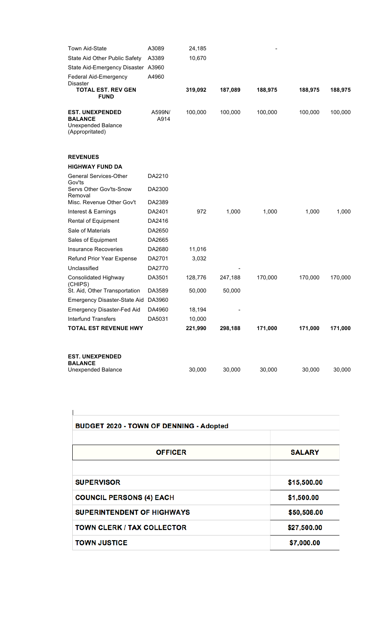| Town Aid-State                                                                           | A3089          | 24,185  |         |         |         |         |
|------------------------------------------------------------------------------------------|----------------|---------|---------|---------|---------|---------|
| State Aid Other Public Safety                                                            | A3389          | 10,670  |         |         |         |         |
| State Aid-Emergency Disaster A3960                                                       |                |         |         |         |         |         |
| <b>Federal Aid-Emergency</b>                                                             | A4960          |         |         |         |         |         |
| <b>Disaster</b><br><b>TOTAL EST. REV GEN</b><br><b>FUND</b>                              |                | 319,092 | 187,089 | 188,975 | 188,975 | 188,975 |
| <b>EST. UNEXPENDED</b><br><b>BALANCE</b><br><b>Unexpended Balance</b><br>(Appropritated) | A599N/<br>A914 | 100,000 | 100,000 | 100,000 | 100,000 | 100,000 |
| <b>REVENUES</b>                                                                          |                |         |         |         |         |         |
| <b>HIGHWAY FUND DA</b>                                                                   |                |         |         |         |         |         |
| General Services-Other<br>Gov'ts                                                         | DA2210         |         |         |         |         |         |
| Servs Other Gov'ts-Snow<br>Removal                                                       | DA2300         |         |         |         |         |         |
| Misc. Revenue Other Gov't                                                                | DA2389         |         |         |         |         |         |
| Interest & Earnings                                                                      | DA2401         | 972     | 1,000   | 1,000   | 1,000   | 1,000   |
| Rental of Equipment                                                                      | DA2416         |         |         |         |         |         |
| Sale of Materials                                                                        | DA2650         |         |         |         |         |         |
| Sales of Equipment                                                                       | DA2665         |         |         |         |         |         |
| <b>Insurance Recoveries</b>                                                              | DA2680         | 11,016  |         |         |         |         |
| Refund Prior Year Expense                                                                | DA2701         | 3,032   |         |         |         |         |
| Unclassified                                                                             | DA2770         |         |         |         |         |         |
| Consolidated Highway<br>(CHIPS)                                                          | DA3501         | 128,776 | 247,188 | 170,000 | 170,000 | 170,000 |
| St. Aid, Other Transportation                                                            | DA3589         | 50,000  | 50,000  |         |         |         |
| <b>Emergency Disaster-State Aid</b>                                                      | DA3960         |         |         |         |         |         |
| Emergency Disaster-Fed Aid                                                               | DA4960         | 18,194  |         |         |         |         |
| <b>Interfund Transfers</b>                                                               | DA5031         | 10,000  |         |         |         |         |
| <b>TOTAL EST REVENUE HWY</b>                                                             |                | 221,990 | 298,188 | 171,000 | 171,000 | 171,000 |
| <b>EST. UNEXPENDED</b>                                                                   |                |         |         |         |         |         |
| <b>BALANCE</b>                                                                           |                |         |         |         |         |         |
| <b>Unexpended Balance</b>                                                                |                | 30,000  | 30,000  | 30,000  | 30,000  | 30,000  |

| <b>BUDGET 2020 - TOWN OF DENNING - Adopted</b> |               |
|------------------------------------------------|---------------|
| <b>OFFICER</b>                                 | <b>SALARY</b> |
| <b>SUPERVISOR</b>                              | \$15,500.00   |
| <b>COUNCIL PERSONS (4) EACH</b>                | \$1,500.00    |
| <b>SUPERINTENDENT OF HIGHWAYS</b>              | \$50,508.00   |
| <b>TOWN CLERK / TAX COLLECTOR</b>              | \$27,500.00   |
| <b>TOWN JUSTICE</b>                            | \$7,000.00    |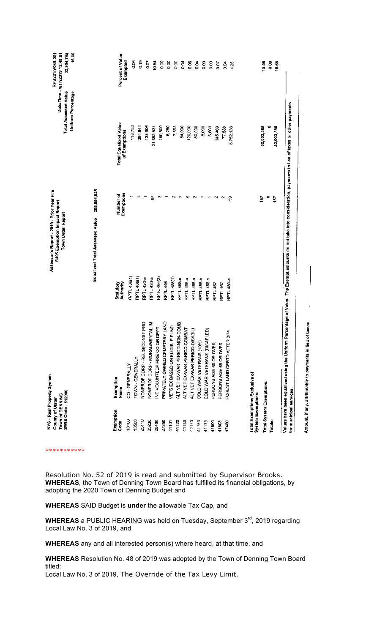| Exemption<br>Exemption                                     |                                |                                | Town Detail Report      | Total Assessed Value<br><b>Uniform Percentage</b> | 32,904,788<br>16.00<br>Date/Time - 9/17/2019 12:48:51 |
|------------------------------------------------------------|--------------------------------|--------------------------------|-------------------------|---------------------------------------------------|-------------------------------------------------------|
|                                                            |                                | Equalized Total Assessed Value | 205,654,925             |                                                   |                                                       |
| <b>Name</b><br>Code                                        |                                | Authority<br>Statutory         | Number of<br>Exemptions | <b>Total Equalized Value</b><br>or Exemptions     | Percent of Value                                      |
| CO-GENERALLY<br>13100                                      |                                | RPTL 406(1)                    |                         | 118,750                                           | Exempted                                              |
| TOWN - GENERALLY<br>13500                                  |                                | RPTI 408(1)                    |                         |                                                   | 8<br>0                                                |
| 25110                                                      | NONPROF CORP - RELIG(CONST PRO | <b>RPTL 420-8</b>              |                         | 138,906<br>384,844                                | $\frac{9}{5}$                                         |
| NONPROF CORP - MORAL/MENT<br>25230                         | <b>TAL IM</b>                  | RPTL 420-a                     | æ                       | 21,882,531                                        | à                                                     |
| 26400                                                      | INC VOLUNTEER FIRE CO OR DEPT  | <b>RPTL 464(2)</b>             | ø                       | 180,500                                           | 10.64                                                 |
| 27350                                                      | PRIVATELY OWNED CEMETERY LAND  | <b>RPTL 446</b>                | ÷                       | 6,250                                             | $\frac{8}{2}$                                         |
| 41101                                                      | VETS EX BASED ON ELIGIBLE FUND | RPTL 458(1)                    | $\sim$                  | 7,563                                             | 8,00                                                  |
| 41120                                                      | ALT VET EX-WAR PERIOD-NON-COMB | RPTL 458-8                     | $\overline{ }$          |                                                   | $\frac{8}{9}$                                         |
| 41130                                                      | ALT VET EX-WAR PERIOD-COMBAT   | <b>RPTL 458-a</b>              | $\bullet$               | 84,000                                            | S<br>0                                                |
| 41140                                                      | ALT VET EX-WAR PERIOD-DISABILI | RPTL 458-a                     | $\sim$                  | 120,000                                           | $\frac{8}{1}$                                         |
| COLD WAR VETERANS (10%)<br>41153                           |                                | RPTL 458-b                     | ٣                       | 80,000                                            | $\frac{8}{2}$                                         |
| COLD WAR VETERANS (DISABL)<br>41173                        | බූ                             | <b>RPTL 458-b</b>              | ٣                       | 8,000                                             | $\frac{8}{9}$                                         |
| PERSONS AGE 65 OR OVER<br>41800                            |                                | RPTL 467                       |                         | 6,600                                             | 8<br>o                                                |
| PERSONS AGE 65 OR OVER<br>41803                            |                                | RPTL 467                       | N                       | 145,469                                           | 0.07                                                  |
| FOREST LAND CERTD AFTER 8/<br>47460                        | k,                             | RPTL 480-a                     | N                       | 77,838                                            | $\frac{3}{2}$                                         |
|                                                            |                                |                                | 3                       | 8,762,138                                         | 4.26                                                  |
| Total Exemptions Exclusive of<br><b>System Exemptions:</b> |                                |                                |                         |                                                   |                                                       |
|                                                            |                                |                                | $\ddot{\phantom{0}}$    | 32,003,388                                        | 15.56                                                 |
| Total System Exemptions:<br>Totals:                        |                                |                                | $\bullet$               | o                                                 | $\frac{3}{2}$                                         |
|                                                            |                                |                                | 157                     | 32,003,388                                        | 15.56                                                 |

\*\*\*\*\*\*\*\*\*\*\*

Resolution No. 52 of 2019 is read and submitted by Supervisor Brooks. **WHEREAS**, the Town of Denning Town Board has fulfilled its financial obligations, by adopting the 2020 Town of Denning Budget and

Amount, if any, attributable to payments in lieu of taxes:

**WHEREAS** SAID Budget is **under** the allowable Tax Cap, and

**WHEREAS** a PUBLIC HEARING was held on Tuesday, September 3<sup>rd</sup>, 2019 regarding Local Law No. 3 of 2019, and

**WHEREAS** any and all interested person(s) where heard, at that time, and

**WHEREAS** Resolution No. 48 of 2019 was adopted by the Town of Denning Town Board titled:

Local Law No. 3 of 2019, The Override of the Tax Levy Limit.